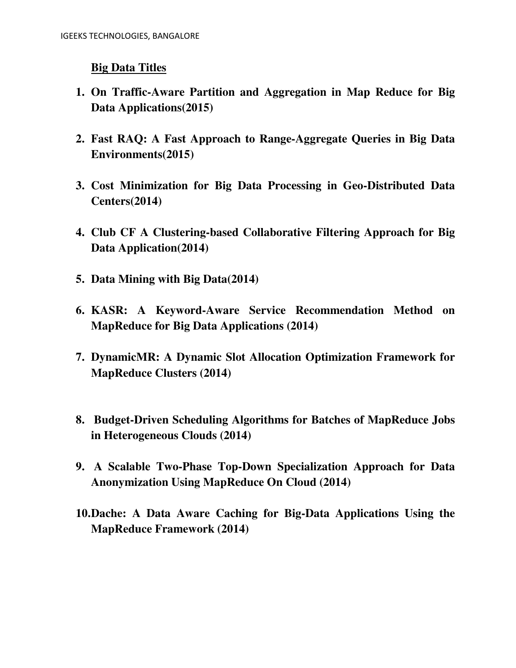## **Big Data Titles**

- **1. On Traffic-Aware Partition and Aggregation in Map Reduce for Big Data Applications(2015)**
- **2. Fast RAQ: A Fast Approach to Range-Aggregate Queries in Big Data Environments(2015)**
- **3. Cost Minimization for Big Data Processing in Geo-Distributed Data Centers(2014)**
- **4. Club CF A Clustering-based Collaborative Filtering Approach for Big Data Application(2014)**
- **5. Data Mining with Big Data(2014)**
- **6. KASR: A Keyword-Aware Service Recommendation Method on MapReduce for Big Data Applications (2014)**
- **7. DynamicMR: A Dynamic Slot Allocation Optimization Framework for MapReduce Clusters (2014)**
- **8. Budget-Driven Scheduling Algorithms for Batches of MapReduce Jobs in Heterogeneous Clouds (2014)**
- **9. A Scalable Two-Phase Top-Down Specialization Approach for Data Anonymization Using MapReduce On Cloud (2014)**
- **10.Dache: A Data Aware Caching for Big-Data Applications Using the MapReduce Framework (2014)**